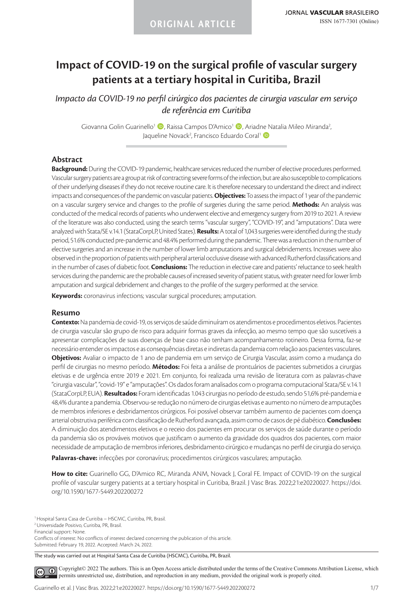# **Impact of COVID-19 on the surgical profile of vascular surgery patients at a tertiary hospital in Curitiba, Brazil**

*Impacto da COVID-19 no perfil cirúrgico dos pacientes de cirurgia vascular em serviço de referência em Curitiba*

Giovanna Golin Guarinello<sup>1</sup> (D, Raissa Campos D'Amico<sup>1</sup> (D, Ariadne Natalia Mileo Miranda<sup>2</sup>, Jaqueline Novack<sup>2</sup>, Francisco Eduardo Coral<sup>1</sup> D

### **Abstract**

**Background:** During the COVID-19 pandemic, healthcare services reduced the number of elective procedures performed. Vascular surgery patients are a group at risk of contracting severe forms of the infection, but are also susceptible to complications of their underlying diseases if they do not receive routine care. It is therefore necessary to understand the direct and indirect impacts and consequences of the pandemic on vascular patients. **Objectives:** To assess the impact of 1 year of the pandemic on a vascular surgery service and changes to the profile of surgeries during the same period. **Methods:** An analysis was conducted of the medical records of patients who underwent elective and emergency surgery from 2019 to 2021. A review of the literature was also conducted, using the search terms "vascular surgery", "COVID-19", and "amputations". Data were analyzed with Stata/SE v.14.1 (StataCorpLP, United States). **Results:** A total of 1,043 surgeries were identified during the study period, 51.6% conducted pre-pandemic and 48.4% performed during the pandemic. There was a reduction in the number of elective surgeries and an increase in the number of lower limb amputations and surgical debridements. Increases were also observed in the proportion of patients with peripheral arterial occlusive disease with advanced Rutherford classifications and in the number of cases of diabetic foot. **Conclusions:** The reduction in elective care and patients' reluctance to seek health services during the pandemic are the probable causes of increased severity of patient status, with greater need for lower limb amputation and surgical debridement and changes to the profile of the surgery performed at the service.

**Keywords:** coronavirus infections; vascular surgical procedures; amputation.

### **Resumo**

**Contexto:** Na pandemia de covid-19, os serviços de saúde diminuíram os atendimentos e procedimentos eletivos. Pacientes de cirurgia vascular são grupo de risco para adquirir formas graves da infecção, ao mesmo tempo que são suscetíveis a apresentar complicações de suas doenças de base caso não tenham acompanhamento rotineiro. Dessa forma, faz-se necessário entender os impactos e as consequências diretas e indiretas da pandemia com relação aos pacientes vasculares. **Objetivos:** Avaliar o impacto de 1 ano de pandemia em um serviço de Cirurgia Vascular, assim como a mudança do perfil de cirurgias no mesmo período. **Métodos:** Foi feita a análise de prontuários de pacientes submetidos a cirurgias eletivas e de urgência entre 2019 e 2021. Em conjunto, foi realizada uma revisão de literatura com as palavras-chave "cirurgia vascular", "covid-19" e "amputações". Os dados foram analisados com o programa computacional Stata/SE v.14.1 (StataCorpLP, EUA). **Resultados:** Foram identificadas 1.043 cirurgias no período de estudo, sendo 51,6% pré-pandemia e 48,4% durante a pandemia. Observou-se redução no número de cirurgias eletivas e aumento no número de amputações de membros inferiores e desbridamentos cirúrgicos. Foi possível observar também aumento de pacientes com doença arterial obstrutiva periférica com classificação de Rutherford avançada, assim como de casos de pé diabético. **Conclusões:** A diminuição dos atendimentos eletivos e o receio dos pacientes em procurar os serviços de saúde durante o período da pandemia são os prováveis motivos que justificam o aumento da gravidade dos quadros dos pacientes, com maior necessidade de amputação de membros inferiores, desbridamento cirúrgico e mudanças no perfil de cirurgia do serviço.

**Palavras-chave:** infecções por coronavírus; procedimentos cirúrgicos vasculares; amputação.

**How to cite:** Guarinello GG, D'Amico RC, Miranda ANM, Novack J, Coral FE. Impact of COVID-19 on the surgical profile of vascular surgery patients at a tertiary hospital in Curitiba, Brazil. J Vasc Bras. 2022;21:e20220027. https://doi. org/10.1590/1677-5449.202200272

<sup>1</sup> Hospital Santa Casa de Curitiba – HSCMC, Curitiba, PR, Brasil.

Conflicts of interest: No conflicts of interest declared concerning the publication of this article. Submitted: February 19, 2022. Accepted: March 24, 2022.

The study was carried out at Hospital Santa Casa de Curitiba (HSCMC), Curitiba, PR, Brazil.

[C](https://creativecommons.org/licenses/by/4.0/)opyright© 2022 The authors. This is an Open Access article distributed under the terms of the Creative Commons Attribution License, which  $\left( \mathbf{c}\right)$ permits unrestricted use, distribution, and reproduction in any medium, provided the original work is properly cited.

<sup>2</sup>Universidade Positivo, Curitiba, PR, Brasil.

Financial support: None.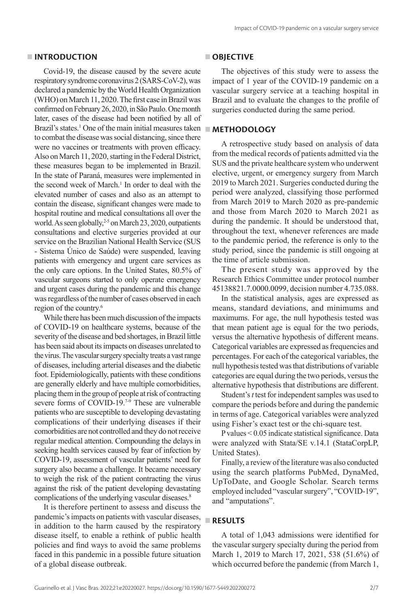### **INTRODUCTION**

Covid-19, the disease caused by the severe acute respiratory syndrome coronavirus 2 (SARS-CoV-2), was declared a pandemic by the World Health Organization (WHO) on March 11, 2020. The first case in Brazil was confirmed on February 26, 2020, in São Paulo. One month later, cases of the disease had been notified by all of Brazil's states.<sup>1</sup> One of the main initial measures taken to combat the disease was social distancing, since there were no vaccines or treatments with proven efficacy. Also on March 11, 2020, starting in the Federal District, these measures began to be implemented in Brazil. In the state of Paraná, measures were implemented in the second week of March.<sup>1</sup> In order to deal with the elevated number of cases and also as an attempt to contain the disease, significant changes were made to hospital routine and medical consultations all over the world. As seen globally,<sup>2-5</sup> on March 23, 2020, outpatients consultations and elective surgeries provided at our service on the Brazilian National Health Service (SUS - Sistema Único de Saúde) were suspended, leaving patients with emergency and urgent care services as the only care options. In the United States, 80.5% of vascular surgeons started to only operate emergency and urgent cases during the pandemic and this change was regardless of the number of cases observed in each region of the country.<sup>6</sup>

While there has been much discussion of the impacts of COVID-19 on healthcare systems, because of the severity of the disease and bed shortages, in Brazil little has been said about its impacts on diseases unrelated to the virus. The vascular surgery specialty treats a vast range of diseases, including arterial diseases and the diabetic foot. Epidemiologically, patients with these conditions are generally elderly and have multiple comorbidities, placing them in the group of people at risk of contracting severe forms of COVID-19.<sup>7-9</sup> These are vulnerable patients who are susceptible to developing devastating complications of their underlying diseases if their comorbidities are not controlled and they do not receive regular medical attention. Compounding the delays in seeking health services caused by fear of infection by COVID-19, assessment of vascular patients' need for surgery also became a challenge. It became necessary to weigh the risk of the patient contracting the virus against the risk of the patient developing devastating complications of the underlying vascular diseases.<sup>8</sup>

It is therefore pertinent to assess and discuss the pandemic's impacts on patients with vascular diseases, in addition to the harm caused by the respiratory disease itself, to enable a rethink of public health policies and find ways to avoid the same problems faced in this pandemic in a possible future situation of a global disease outbreak.

### **OBJECTIVE**

The objectives of this study were to assess the impact of 1 year of the COVID-19 pandemic on a vascular surgery service at a teaching hospital in Brazil and to evaluate the changes to the profile of surgeries conducted during the same period.

### **METHODOLOGY**

A retrospective study based on analysis of data from the medical records of patients admitted via the SUS and the private healthcare system who underwent elective, urgent, or emergency surgery from March 2019 to March 2021. Surgeries conducted during the period were analyzed, classifying those performed from March 2019 to March 2020 as pre-pandemic and those from March 2020 to March 2021 as during the pandemic. It should be understood that, throughout the text, whenever references are made to the pandemic period, the reference is only to the study period, since the pandemic is still ongoing at the time of article submission.

The present study was approved by the Research Ethics Committee under protocol number 45138821.7.0000.0099, decision number 4.735.088.

In the statistical analysis, ages are expressed as means, standard deviations, and minimums and maximums. For age, the null hypothesis tested was that mean patient age is equal for the two periods, versus the alternative hypothesis of different means. Categorical variables are expressed as frequencies and percentages. For each of the categorical variables, the null hypothesis tested was that distributions of variable categories are equal during the two periods, versus the alternative hypothesis that distributions are different.

Student's *t* test for independent samples was used to compare the periods before and during the pandemic in terms of age. Categorical variables were analyzed using Fisher's exact test or the chi-square test.

P values < 0.05 indicate statistical significance. Data were analyzed with Stata/SE v.14.1 (StataCorpLP, United States).

Finally, a review of the literature was also conducted using the search platforms PubMed, DynaMed, UpToDate, and Google Scholar. Search terms employed included "vascular surgery", "COVID-19", and "amputations".

# **RESULTS**

A total of 1,043 admissions were identified for the vascular surgery specialty during the period from March 1, 2019 to March 17, 2021, 538 (51.6%) of which occurred before the pandemic (from March 1,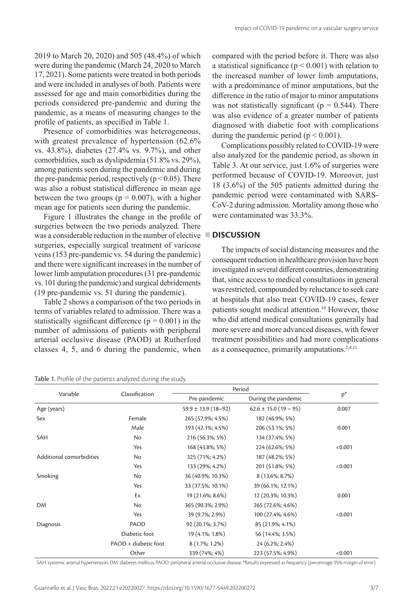2019 to March 20, 2020) and 505 (48.4%) of which were during the pandemic (March 24, 2020 to March 17, 2021). Some patients were treated in both periods and were included in analyses of both. Patients were assessed for age and main comorbidities during the periods considered pre-pandemic and during the pandemic, as a means of measuring changes to the profile of patients, as specified in Table 1.

Presence of comorbidities was heterogeneous, with greatest prevalence of hypertension (62.6% vs. 43.8%), diabetes (27.4% vs. 9.7%), and other comorbidities, such as dyslipidemia (51.8% vs. 29%), among patients seen during the pandemic and during the pre-pandemic period, respectively ( $p < 0.05$ ). There was also a robust statistical difference in mean age between the two groups ( $p = 0.007$ ), with a higher mean age for patients seen during the pandemic.

Figure 1 illustrates the change in the profile of surgeries between the two periods analyzed. There was a considerable reduction in the number of elective **DISCUSSION** surgeries, especially surgical treatment of varicose veins (153 pre-pandemic vs. 54 during the pandemic) and there were significant increases in the number of lower limb amputation procedures (31 pre-pandemic vs. 101 during the pandemic) and surgical debridements (19 pre-pandemic vs. 51 during the pandemic).

Table 2 shows a comparison of the two periods in terms of variables related to admission. There was a statistically significant difference ( $p = 0.001$ ) in the number of admissions of patients with peripheral arterial occlusive disease (PAOD) at Rutherford classes 4, 5, and 6 during the pandemic, when

Table 1. Profile of the patients analyzed during the study.

compared with the period before it. There was also a statistical significance ( $p \le 0.001$ ) with relation to the increased number of lower limb amputations, with a predominance of minor amputations, but the difference in the ratio of major to minor amputations was not statistically significant ( $p = 0.544$ ). There was also evidence of a greater number of patients diagnosed with diabetic foot with complications during the pandemic period ( $p < 0.001$ ).

Complications possibly related to COVID-19 were also analyzed for the pandemic period, as shown in Table 3. At our service, just 1.6% of surgeries were performed because of COVID-19. Moreover, just 18 (3.6%) of the 505 patients admitted during the pandemic period were contaminated with SARS-CoV-2 during admission. Mortality among those who were contaminated was 33.3%.

The impacts of social distancing measures and the consequent reduction in healthcare provision have been investigated in several different countries, demonstrating that, since access to medical consultations in general was restricted, compounded by reluctance to seek care at hospitals that also treat COVID-19 cases, fewer patients sought medical attention.<sup>10</sup> However, those who did attend medical consultations generally had more severe and more advanced diseases, with fewer treatment possibilities and had more complications as a consequence, primarily amputations.<sup>2,4,11</sup>

| Variable                 | Classification       | Period                  |                           |         |
|--------------------------|----------------------|-------------------------|---------------------------|---------|
|                          |                      | Pre-pandemic            | During the pandemic       | $p^*$   |
| Age (years)              |                      | $59.9 \pm 13.9$ (18-92) | $62.6 \pm 15.0$ (19 – 95) | 0.007   |
| Sex                      | Female               | 265 (57.9%; 4.5%)       | 182 (46.9%; 5%)           |         |
|                          | Male                 | 193 (42.1%; 4.5%)       | 206 (53.1%; 5%)           | 0.001   |
| SAH                      | <b>No</b>            | 216 (56.3%; 5%)         | 134 (37.4%; 5%)           |         |
|                          | Yes                  | 168 (43.8%; 5%)         | 224 (62.6%; 5%)           | < 0.001 |
| Additional comorbidities | No                   | 325 (71%; 4.2%)         | 187 (48.2%; 5%)           |         |
|                          | Yes                  | 133 (29%; 4.2%)         | 201 (51.8%; 5%)           | < 0.001 |
| Smoking                  | No                   | 36 (40.9%; 10.3%)       | 8 (13.6%; 8.7%)           |         |
|                          | Yes                  | 33 (37.5%; 10.1%)       | 39 (66.1%; 12.1%)         |         |
|                          | Ex                   | 19 (21.6%; 8.6%)        | 12 (20.3%; 10.3%)         | 0.001   |
| <b>DM</b>                | No                   | 365 (90.3%; 2.9%)       | 265 (72.6%; 4.6%)         |         |
|                          | Yes                  | 39 (9.7%; 2.9%)         | 100 (27.4%; 4.6%)         | < 0.001 |
| Diagnosis                | PAOD                 | 92 (20.1%; 3.7%)        | 85 (21.9%; 4.1%)          |         |
|                          | Diabetic foot        | 19 (4.1%; 1.8%)         | 56 (14.4%; 3.5%)          |         |
|                          | PAOD + diabetic foot | 8 (1.7%; 1.2%)          | 24 (6.2%; 2.4%)           |         |
|                          | Other                | 339 (74%; 4%)           | 223 (57.5%; 4.9%)         | < 0.001 |

SAH: systemic arterial hypertension; DM: diabetes mellitus; PAOD: peripheral arterial occlusive disease. \*Results expressed as frequency (percentage; 95% margin of error).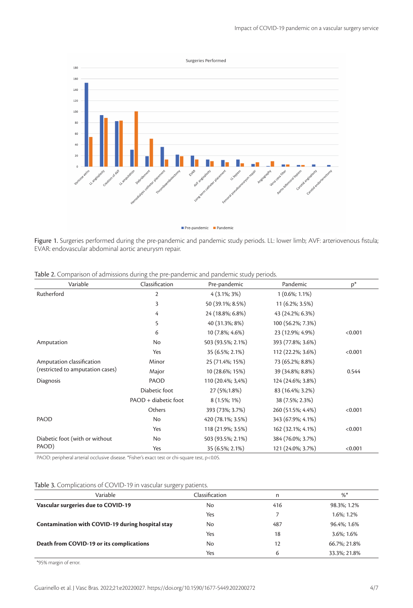



Figure 1. Surgeries performed during the pre-pandemic and pandemic study periods. LL: lower limb; AVF: arteriovenous fistula; EVAR: endovascular abdominal aortic aneurysm repair.

| Variable                         | Classification       | Pre-pandemic      | Pandemic          | $p^*$   |
|----------------------------------|----------------------|-------------------|-------------------|---------|
| Rutherford                       | $\overline{2}$       | $4(3.1\%; 3\%)$   | $1(0.6\%; 1.1\%)$ |         |
|                                  | 3                    | 50 (39.1%; 8.5%)  | 11 (6.2%; 3.5%)   |         |
|                                  | 4                    | 24 (18.8%; 6.8%)  | 43 (24.2%; 6.3%)  |         |
|                                  | 5                    | 40 (31.3%; 8%)    | 100 (56.2%; 7.3%) |         |
|                                  | 6                    | 10 (7.8%; 4.6%)   | 23 (12.9%; 4.9%)  | < 0.001 |
| Amputation                       | No                   | 503 (93.5%; 2.1%) | 393 (77.8%; 3.6%) |         |
|                                  | Yes                  | 35 (6.5%; 2.1%)   | 112 (22.2%; 3.6%) | < 0.001 |
| Amputation classification        | Minor                | 25 (71.4%; 15%)   | 73 (65.2%; 8.8%)  |         |
| (restricted to amputation cases) | Major                | 10 (28.6%; 15%)   | 39 (34.8%; 8.8%)  | 0.544   |
| Diagnosis                        | PAOD                 | 110 (20.4%; 3,4%) | 124 (24.6%; 3.8%) |         |
|                                  | Diabetic foot        | 27 (5%;1.8%)      | 83 (16.4%; 3.2%)  |         |
|                                  | PAOD + diabetic foot | 8 (1.5%; 1%)      | 38 (7.5%; 2.3%)   |         |
|                                  | Others               | 393 (73%; 3.7%)   | 260 (51.5%; 4.4%) | < 0.001 |
| PAOD                             | No                   | 420 (78.1%; 3.5%) | 343 (67.9%; 4.1%) |         |
|                                  | Yes                  | 118 (21.9%; 3.5%) | 162 (32.1%; 4.1%) | < 0.001 |
| Diabetic foot (with or without   | No                   | 503 (93.5%; 2.1%) | 384 (76.0%; 3.7%) |         |
| PAOD)                            | Yes                  | 35 (6.5%; 2.1%)   | 121 (24.0%; 3.7%) | < 0.001 |

Table 2. Comparison of admissions during the pre-pandemic and pandemic study periods.

PAOD: peripheral arterial occlusive disease. \*Fisher's exact test or chi-square test, p<0.05.

|  | Table 3. Complications of COVID-19 in vascular surgery patients. |  |
|--|------------------------------------------------------------------|--|
|--|------------------------------------------------------------------|--|

| Variable                                         | Classification | n   | %            |
|--------------------------------------------------|----------------|-----|--------------|
| Vascular surgeries due to COVID-19               | No             | 416 | 98.3%; 1.2%  |
|                                                  | Yes            |     | 1.6%: 1.2%   |
| Contamination with COVID-19 during hospital stay | No             | 487 | 96.4%; 1.6%  |
|                                                  | Yes            | 18  | 3.6%; 1.6%   |
| Death from COVID-19 or its complications         | No             | 12  | 66.7%: 21.8% |
|                                                  | Yes            | 6   | 33.3%; 21.8% |

\*95% margin of error.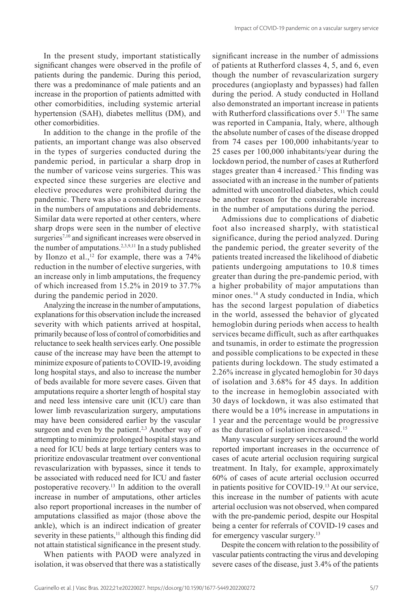In the present study, important statistically significant changes were observed in the profile of patients during the pandemic. During this period, there was a predominance of male patients and an increase in the proportion of patients admitted with other comorbidities, including systemic arterial hypertension (SAH), diabetes mellitus (DM), and other comorbidities.

In addition to the change in the profile of the patients, an important change was also observed in the types of surgeries conducted during the pandemic period, in particular a sharp drop in the number of varicose veins surgeries. This was expected since these surgeries are elective and elective procedures were prohibited during the pandemic. There was also a considerable increase in the numbers of amputations and debridements. Similar data were reported at other centers, where sharp drops were seen in the number of elective surgeries<sup>7,10</sup> and significant increases were observed in the number of amputations.<sup>2,3,9,11</sup> In a study published by Ilonzo et al., $^{12}$  for example, there was a 74% reduction in the number of elective surgeries, with an increase only in limb amputations, the frequency of which increased from 15.2% in 2019 to 37.7% during the pandemic period in 2020.

Analyzing the increase in the number of amputations, explanations for this observation include the increased severity with which patients arrived at hospital, primarily because of loss of control of comorbidities and reluctance to seek health services early. One possible cause of the increase may have been the attempt to minimize exposure of patients to COVID-19, avoiding long hospital stays, and also to increase the number of beds available for more severe cases. Given that amputations require a shorter length of hospital stay and need less intensive care unit (ICU) care than lower limb revascularization surgery, amputations may have been considered earlier by the vascular surgeon and even by the patient.<sup>2,3</sup> Another way of attempting to minimize prolonged hospital stays and a need for ICU beds at large tertiary centers was to prioritize endovascular treatment over conventional revascularization with bypasses, since it tends to be associated with reduced need for ICU and faster postoperative recovery.<sup>13</sup> In addition to the overall increase in number of amputations, other articles also report proportional increases in the number of amputations classified as major (those above the ankle), which is an indirect indication of greater severity in these patients, $11$  although this finding did not attain statistical significance in the present study.

When patients with PAOD were analyzed in isolation, it was observed that there was a statistically significant increase in the number of admissions of patients at Rutherford classes 4, 5, and 6, even though the number of revascularization surgery procedures (angioplasty and bypasses) had fallen during the period. A study conducted in Holland also demonstrated an important increase in patients with Rutherford classifications over  $5.^{11}$  The same was reported in Campania, Italy, where, although the absolute number of cases of the disease dropped from 74 cases per 100,000 inhabitants/year to 25 cases per 100,000 inhabitants/year during the lockdown period, the number of cases at Rutherford stages greater than 4 increased.<sup>2</sup> This finding was associated with an increase in the number of patients admitted with uncontrolled diabetes, which could be another reason for the considerable increase in the number of amputations during the period.

Admissions due to complications of diabetic foot also increased sharply, with statistical significance, during the period analyzed. During the pandemic period, the greater severity of the patients treated increased the likelihood of diabetic patients undergoing amputations to 10.8 times greater than during the pre-pandemic period, with a higher probability of major amputations than minor ones.<sup>14</sup> A study conducted in India, which has the second largest population of diabetics in the world, assessed the behavior of glycated hemoglobin during periods when access to health services became difficult, such as after earthquakes and tsunamis, in order to estimate the progression and possible complications to be expected in these patients during lockdown. The study estimated a 2.26% increase in glycated hemoglobin for 30 days of isolation and 3.68% for 45 days. In addition to the increase in hemoglobin associated with 30 days of lockdown, it was also estimated that there would be a 10% increase in amputations in 1 year and the percentage would be progressive as the duration of isolation increased.15

Many vascular surgery services around the world reported important increases in the occurrence of cases of acute arterial occlusion requiring surgical treatment. In Italy, for example, approximately 60% of cases of acute arterial occlusion occurred in patients positive for COVID-19.<sup>13</sup> At our service, this increase in the number of patients with acute arterial occlusion was not observed, when compared with the pre-pandemic period, despite our Hospital being a center for referrals of COVID-19 cases and for emergency vascular surgery.13

Despite the concern with relation to the possibility of vascular patients contracting the virus and developing severe cases of the disease, just 3.4% of the patients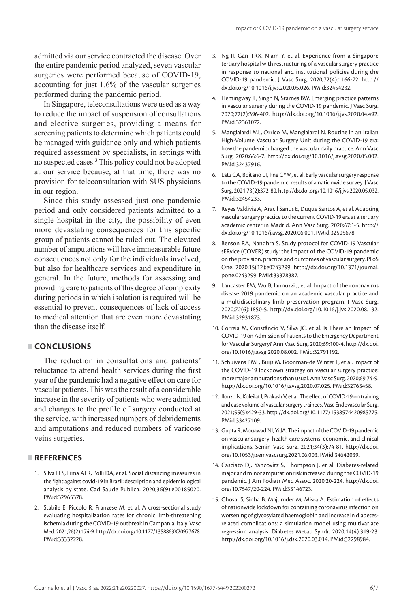admitted via our service contracted the disease. Over the entire pandemic period analyzed, seven vascular surgeries were performed because of COVID-19, accounting for just 1.6% of the vascular surgeries performed during the pandemic period.

In Singapore, teleconsultations were used as a way to reduce the impact of suspension of consultations and elective surgeries, providing a means for screening patients to determine which patients could be managed with guidance only and which patients required assessment by specialists, in settings with no suspected cases.3 This policy could not be adopted at our service because, at that time, there was no provision for teleconsultation with SUS physicians in our region.

Since this study assessed just one pandemic period and only considered patients admitted to a single hospital in the city, the possibility of even more devastating consequences for this specific group of patients cannot be ruled out. The elevated number of amputations will have immeasurable future consequences not only for the individuals involved, but also for healthcare services and expenditure in general. In the future, methods for assessing and providing care to patients of this degree of complexity during periods in which isolation is required will be essential to prevent consequences of lack of access to medical attention that are even more devastating than the disease itself.

## **CONCLUSIONS**

The reduction in consultations and patients' reluctance to attend health services during the first year of the pandemic had a negative effect on care for vascular patients. This was the result of a considerable increase in the severity of patients who were admitted and changes to the profile of surgery conducted at the service, with increased numbers of debridements and amputations and reduced numbers of varicose veins surgeries.

# **REFERENCES**

- 1. Silva LLS, Lima AFR, Polli DA, et al. Social distancing measures in the fight against covid-19 in Brazil: description and epidemiological analysis by state. Cad Saude Publica. 2020;36(9):e00185020. [PMid:32965378.](https://www.ncbi.nlm.nih.gov/entrez/query.fcgi?cmd=Retrieve&db=PubMed&list_uids=32965378&dopt=Abstract)
- 2. Stabile E, Piccolo R, Franzese M, et al. A cross-sectional study evaluating hospitalization rates for chronic limb-threatening ischemia during the COVID-19 outbreak in Campania, Italy. Vasc Med. 2021;26(2):174-9. [http://dx.doi.org/10.1177/1358863X20977678.](https://doi.org/10.1177/1358863X20977678) [PMid:33332228.](https://www.ncbi.nlm.nih.gov/entrez/query.fcgi?cmd=Retrieve&db=PubMed&list_uids=33332228&dopt=Abstract)
- 3. Ng JJ, Gan TRX, Niam Y, et al. Experience from a Singapore tertiary hospital with restructuring of a vascular surgery practice in response to national and institutional policies during the COVID-19 pandemic. J Vasc Surg. 2020;72(4):1166-72. [http://](https://doi.org/10.1016/j.jvs.2020.05.026) [dx.doi.org/10.1016/j.jvs.2020.05.026](https://doi.org/10.1016/j.jvs.2020.05.026)[. PMid:32454232.](https://www.ncbi.nlm.nih.gov/entrez/query.fcgi?cmd=Retrieve&db=PubMed&list_uids=32454232&dopt=Abstract)
- 4. Hemingway JF, Singh N, Starnes BW. Emerging practice patterns in vascular surgery during the COVID-19 pandemic. J Vasc Surg. 2020;72(2):396-402. [http://dx.doi.org/10.1016/j.jvs.2020.04.492](https://doi.org/10.1016/j.jvs.2020.04.492). [PMid:32361072.](https://www.ncbi.nlm.nih.gov/entrez/query.fcgi?cmd=Retrieve&db=PubMed&list_uids=32361072&dopt=Abstract)
- 5. Mangialardi ML, Orrico M, Mangialardi N. Routine in an Italian High-Volume Vascular Surgery Unit during the COVID-19 era: how the pandemic changed the vascular daily practice. Ann Vasc Surg. 2020;66:6-7. [http://dx.doi.org/10.1016/j.avsg.2020.05.002](https://doi.org/10.1016/j.avsg.2020.05.002). [PMid:32437916.](https://www.ncbi.nlm.nih.gov/entrez/query.fcgi?cmd=Retrieve&db=PubMed&list_uids=32437916&dopt=Abstract)
- 6. Latz CA, Boitano LT, Png CYM, et al. Early vascular surgery response to the COVID-19 pandemic: results of a nationwide survey. J Vasc Surg. 2021;73(2):372-80. [http://dx.doi.org/10.1016/j.jvs.2020.05.032](https://doi.org/10.1016/j.jvs.2020.05.032). [PMid:32454233.](https://www.ncbi.nlm.nih.gov/entrez/query.fcgi?cmd=Retrieve&db=PubMed&list_uids=32454233&dopt=Abstract)
- 7. Reyes Valdivia A, Aracil Sanus E, Duque Santos Á, et al. Adapting vascular surgery practice to the current COVID-19 era at a tertiary academic center in Madrid. Ann Vasc Surg. 2020;67:1-5. [http://](https://doi.org/10.1016/j.avsg.2020.06.001) [dx.doi.org/10.1016/j.avsg.2020.06.001](https://doi.org/10.1016/j.avsg.2020.06.001). [PMid:32505678.](https://www.ncbi.nlm.nih.gov/entrez/query.fcgi?cmd=Retrieve&db=PubMed&list_uids=32505678&dopt=Abstract)
- 8. Benson RA, Nandhra S. Study protocol for COVID-19 Vascular sERvice (COVER) study: the impact of the COVID-19 pandemic on the provision, practice and outcomes of vascular surgery. PLoS One. 2020;15(12):e0243299. [http://dx.doi.org/10.1371/journal.](https://doi.org/10.1371/journal.pone.0243299) [pone.0243299.](https://doi.org/10.1371/journal.pone.0243299) [PMid:33378387.](https://www.ncbi.nlm.nih.gov/entrez/query.fcgi?cmd=Retrieve&db=PubMed&list_uids=33378387&dopt=Abstract)
- 9. Lancaster EM, Wu B, Iannuzzi J, et al. Impact of the coronavirus disease 2019 pandemic on an academic vascular practice and a multidisciplinary limb preservation program. J Vasc Surg. 2020;72(6):1850-5. [http://dx.doi.org/10.1016/j.jvs.2020.08.132](https://doi.org/10.1016/j.jvs.2020.08.132). [PMid:32931873.](https://www.ncbi.nlm.nih.gov/entrez/query.fcgi?cmd=Retrieve&db=PubMed&list_uids=32931873&dopt=Abstract)
- 10. Correia M, Constâncio V, Silva JC, et al. Is There an Impact of COVID-19 on Admission of Patients to the Emergency Department for Vascular Surgery? Ann Vasc Surg. 2020;69:100-4. [http://dx.doi.](https://doi.org/10.1016/j.avsg.2020.08.002) [org/10.1016/j.avsg.2020.08.002](https://doi.org/10.1016/j.avsg.2020.08.002)[. PMid:32791192.](https://www.ncbi.nlm.nih.gov/entrez/query.fcgi?cmd=Retrieve&db=PubMed&list_uids=32791192&dopt=Abstract)
- 11. Schuivens PME, Buijs M, Boonman-de Winter L, et al. Impact of the COVID-19 lockdown strategy on vascular surgery practice: more major amputations than usual. Ann Vasc Surg. 2020;69:74-9. [http://dx.doi.org/10.1016/j.avsg.2020.07.025](https://doi.org/10.1016/j.avsg.2020.07.025)[. PMid:32763458.](https://www.ncbi.nlm.nih.gov/entrez/query.fcgi?cmd=Retrieve&db=PubMed&list_uids=32763458&dopt=Abstract)
- 12. Ilonzo N, Koleilat I, Prakash V, et al. The effect of COVID-19 on training and case volume of vascular surgery trainees. Vasc Endovascular Surg. 2021;55(5):429-33. [http://dx.doi.org/10.1177/1538574420985775](https://doi.org/10.1177/1538574420985775). [PMid:33427109.](https://www.ncbi.nlm.nih.gov/entrez/query.fcgi?cmd=Retrieve&db=PubMed&list_uids=33427109&dopt=Abstract)
- 13. Gupta R, Mouawad NJ, Yi JA. The impact of the COVID-19 pandemic on vascular surgery: health care systems, economic, and clinical implications. Semin Vasc Surg. 2021;34(3):74-81. [http://dx.doi.](https://doi.org/10.1053/j.semvascsurg.2021.06.003) [org/10.1053/j.semvascsurg.2021.06.003](https://doi.org/10.1053/j.semvascsurg.2021.06.003). [PMid:34642039.](https://www.ncbi.nlm.nih.gov/entrez/query.fcgi?cmd=Retrieve&db=PubMed&list_uids=34642039&dopt=Abstract)
- 14. Casciato DJ, Yancovitz S, Thompson J, et al. Diabetes-related major and minor amputation risk increased during the COVID-19 pandemic. J Am Podiatr Med Assoc. 2020;20-224. [http://dx.doi.](https://doi.org/10.7547/20-224) [org/10.7547/20-224](https://doi.org/10.7547/20-224)[. PMid:33146723.](https://www.ncbi.nlm.nih.gov/entrez/query.fcgi?cmd=Retrieve&db=PubMed&list_uids=33146723&dopt=Abstract)
- 15. Ghosal S, Sinha B, Majumder M, Misra A. Estimation of effects of nationwide lockdown for containing coronavirus infection on worsening of glycosylated haemoglobin and increase in diabetesrelated complications: a simulation model using multivariate regression analysis. Diabetes Metab Syndr. 2020;14(4):319-23. [http://dx.doi.org/10.1016/j.dsx.2020.03.014](https://doi.org/10.1016/j.dsx.2020.03.014)[. PMid:32298984.](https://www.ncbi.nlm.nih.gov/entrez/query.fcgi?cmd=Retrieve&db=PubMed&list_uids=32298984&dopt=Abstract)